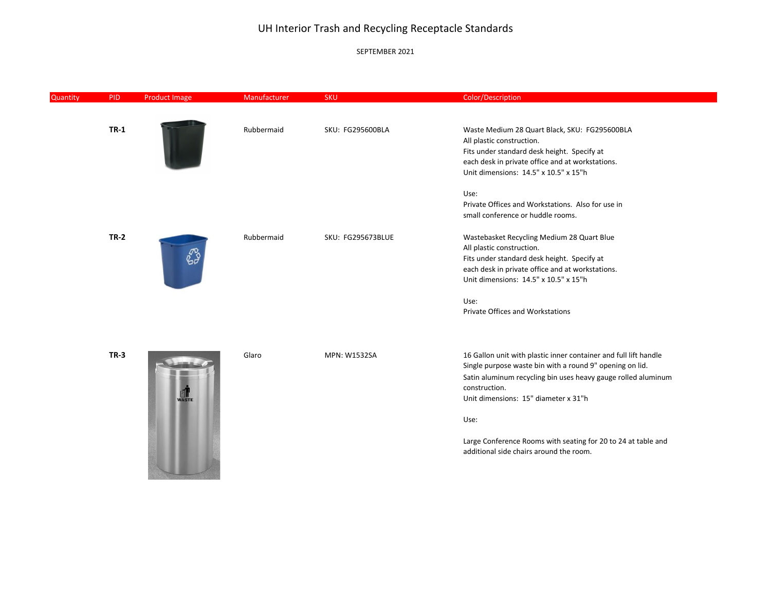### SEPTEMBER 2021

| Quantity | <b>PID</b>  | <b>Product Image</b> | Manufacturer | <b>SKU</b>               | Color/Description                                                                                                                                                                                                                                      |
|----------|-------------|----------------------|--------------|--------------------------|--------------------------------------------------------------------------------------------------------------------------------------------------------------------------------------------------------------------------------------------------------|
|          | $TR-1$      |                      | Rubbermaid   | SKU: FG295600BLA         | Waste Medium 28 Quart Black, SKU: FG295600BLA<br>All plastic construction.<br>Fits under standard desk height. Specify at<br>each desk in private office and at workstations.<br>Unit dimensions: 14.5" x 10.5" x 15"h                                 |
|          |             |                      |              |                          | Use:<br>Private Offices and Workstations. Also for use in<br>small conference or huddle rooms.                                                                                                                                                         |
|          | $TR-2$      |                      | Rubbermaid   | <b>SKU: FG295673BLUE</b> | Wastebasket Recycling Medium 28 Quart Blue<br>All plastic construction.<br>Fits under standard desk height. Specify at<br>each desk in private office and at workstations.<br>Unit dimensions: 14.5" x 10.5" x 15"h                                    |
|          |             |                      |              |                          | Use:<br><b>Private Offices and Workstations</b>                                                                                                                                                                                                        |
|          | <b>TR-3</b> | WASTE                | Glaro        | <b>MPN: W1532SA</b>      | 16 Gallon unit with plastic inner container and full lift handle<br>Single purpose waste bin with a round 9" opening on lid.<br>Satin aluminum recycling bin uses heavy gauge rolled aluminum<br>construction.<br>Unit dimensions: 15" diameter x 31"h |
|          |             |                      |              |                          | Use:<br>Large Conference Rooms with seating for 20 to 24 at table and<br>additional side chairs around the room.                                                                                                                                       |

 $\sim$   $\sim$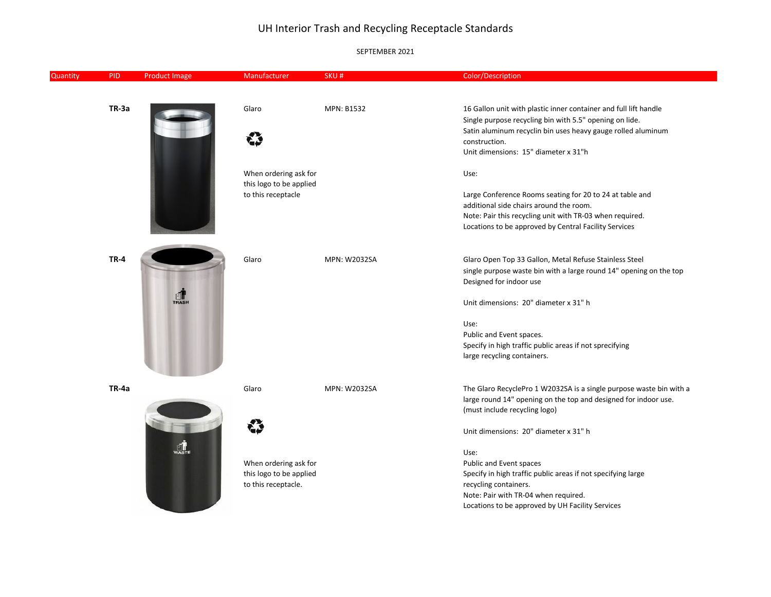| Quantity | <b>PID</b>  | <b>Product Image</b> | Manufacturer                                   | SKU#         | Color/Description                                                                                                                                                                                                                                    |
|----------|-------------|----------------------|------------------------------------------------|--------------|------------------------------------------------------------------------------------------------------------------------------------------------------------------------------------------------------------------------------------------------------|
|          |             |                      |                                                |              |                                                                                                                                                                                                                                                      |
|          | TR-3a       |                      | Glaro<br>⇔                                     | MPN: B1532   | 16 Gallon unit with plastic inner container and full lift handle<br>Single purpose recycling bin with 5.5" opening on lide.<br>Satin aluminum recyclin bin uses heavy gauge rolled aluminum<br>construction.<br>Unit dimensions: 15" diameter x 31"h |
|          |             |                      | When ordering ask for                          |              | Use:                                                                                                                                                                                                                                                 |
|          |             |                      | this logo to be applied<br>to this receptacle  |              | Large Conference Rooms seating for 20 to 24 at table and<br>additional side chairs around the room.                                                                                                                                                  |
|          |             |                      |                                                |              | Note: Pair this recycling unit with TR-03 when required.<br>Locations to be approved by Central Facility Services                                                                                                                                    |
|          | <b>TR-4</b> |                      | Glaro                                          | MPN: W2032SA | Glaro Open Top 33 Gallon, Metal Refuse Stainless Steel                                                                                                                                                                                               |
|          |             | $\frac{1}{\sqrt{1}}$ |                                                |              | single purpose waste bin with a large round 14" opening on the top<br>Designed for indoor use                                                                                                                                                        |
|          |             |                      |                                                |              | Unit dimensions: 20" diameter x 31" h                                                                                                                                                                                                                |
|          |             |                      |                                                |              | Use:<br>Public and Event spaces.                                                                                                                                                                                                                     |
|          |             |                      |                                                |              | Specify in high traffic public areas if not sprecifying<br>large recycling containers.                                                                                                                                                               |
|          | TR-4a       |                      | Glaro                                          | MPN: W2032SA | The Glaro RecyclePro 1 W2032SA is a single purpose waste bin with a                                                                                                                                                                                  |
|          |             |                      |                                                |              | large round 14" opening on the top and designed for indoor use.<br>(must include recycling logo)                                                                                                                                                     |
|          |             |                      |                                                |              | Unit dimensions: 20" diameter x 31" h                                                                                                                                                                                                                |
|          |             |                      | When ordering ask for                          |              | Use:<br>Public and Event spaces                                                                                                                                                                                                                      |
|          |             |                      | this logo to be applied<br>to this receptacle. |              | Specify in high traffic public areas if not specifying large<br>recycling containers.                                                                                                                                                                |
|          |             |                      |                                                |              | Note: Pair with TR-04 when required.<br>Locations to be approved by UH Facility Services                                                                                                                                                             |
|          |             |                      |                                                |              |                                                                                                                                                                                                                                                      |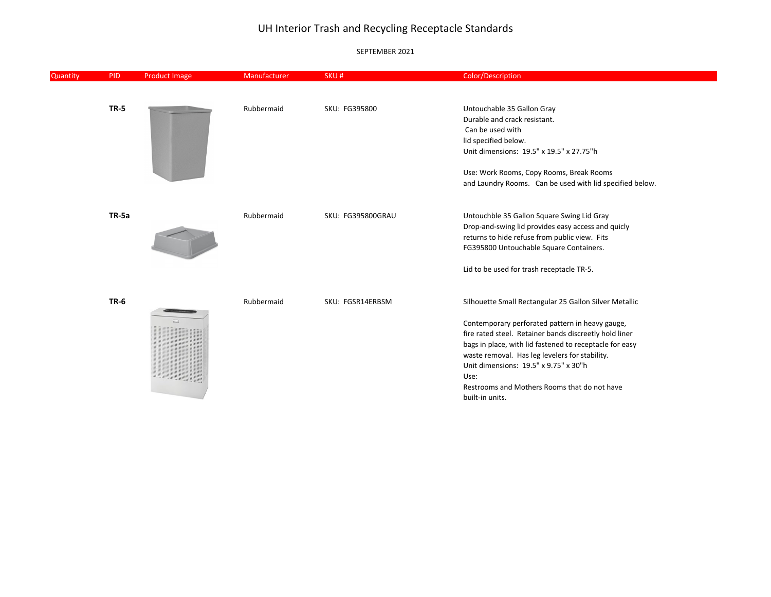### SEPTEMBER 2021

×.

| Quantity | <b>PID</b>  | Product Image | Manufacturer | SKU#              | Color/Description                                          |
|----------|-------------|---------------|--------------|-------------------|------------------------------------------------------------|
|          |             |               |              |                   |                                                            |
|          | <b>TR-5</b> |               | Rubbermaid   | SKU: FG395800     | Untouchable 35 Gallon Gray<br>Durable and crack resistant. |
|          |             |               |              |                   | Can be used with                                           |
|          |             |               |              |                   | lid specified below.                                       |
|          |             |               |              |                   | Unit dimensions: 19.5" x 19.5" x 27.75"h                   |
|          |             |               |              |                   | Use: Work Rooms, Copy Rooms, Break Rooms                   |
|          |             |               |              |                   | and Laundry Rooms. Can be used with lid specified below.   |
|          | TR-5a       |               | Rubbermaid   | SKU: FG395800GRAU | Untouchble 35 Gallon Square Swing Lid Gray                 |
|          |             |               |              |                   | Drop-and-swing lid provides easy access and quicly         |
|          |             |               |              |                   | returns to hide refuse from public view. Fits              |
|          |             |               |              |                   | FG395800 Untouchable Square Containers.                    |
|          |             |               |              |                   | Lid to be used for trash receptacle TR-5.                  |
|          | <b>TR-6</b> |               | Rubbermaid   | SKU: FGSR14ERBSM  | Silhouette Small Rectangular 25 Gallon Silver Metallic     |
|          |             |               |              |                   | Contemporary perforated pattern in heavy gauge,            |
|          |             |               |              |                   | fire rated steel. Retainer bands discreetly hold liner     |
|          |             |               |              |                   | bags in place, with lid fastened to receptacle for easy    |
|          |             |               |              |                   | waste removal. Has leg levelers for stability.             |
|          |             |               |              |                   | Unit dimensions: 19.5" x 9.75" x 30"h                      |
|          |             |               |              |                   | Use:                                                       |
|          |             |               |              |                   | Restrooms and Mothers Rooms that do not have               |
|          |             |               |              |                   | built-in units.                                            |
|          |             |               |              |                   |                                                            |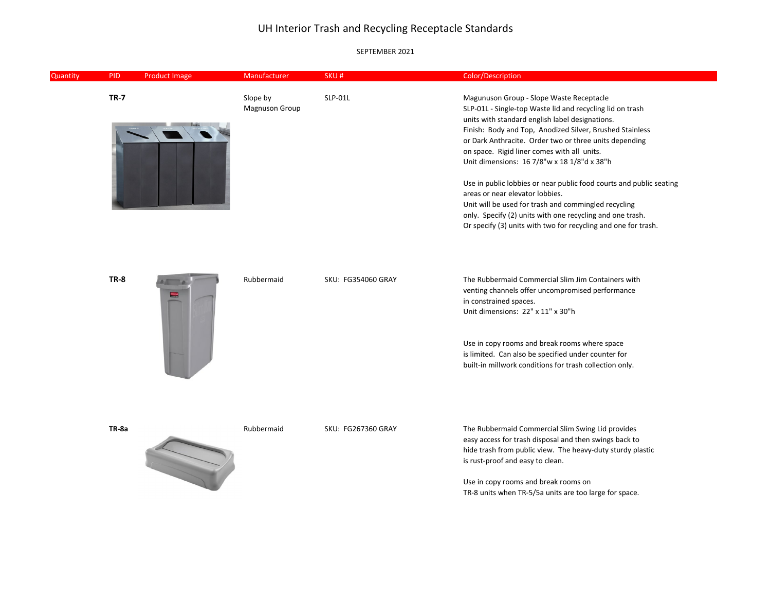| Quantity | <b>PID</b>  | <b>Product Image</b> | Manufacturer               | SKU#               | Color/Description                                                                                                                                                                                                                                                                                                                                                                                                                                                                                                                                                                                                                                                             |
|----------|-------------|----------------------|----------------------------|--------------------|-------------------------------------------------------------------------------------------------------------------------------------------------------------------------------------------------------------------------------------------------------------------------------------------------------------------------------------------------------------------------------------------------------------------------------------------------------------------------------------------------------------------------------------------------------------------------------------------------------------------------------------------------------------------------------|
|          | <b>TR-7</b> |                      | Slope by<br>Magnuson Group | SLP-01L            | Magunuson Group - Slope Waste Receptacle<br>SLP-01L - Single-top Waste lid and recycling lid on trash<br>units with standard english label designations.<br>Finish: Body and Top, Anodized Silver, Brushed Stainless<br>or Dark Anthracite. Order two or three units depending<br>on space. Rigid liner comes with all units.<br>Unit dimensions: 16 7/8"w x 18 1/8"d x 38"h<br>Use in public lobbies or near public food courts and public seating<br>areas or near elevator lobbies.<br>Unit will be used for trash and commingled recycling<br>only. Specify (2) units with one recycling and one trash.<br>Or specify (3) units with two for recycling and one for trash. |
|          | <b>TR-8</b> |                      | Rubbermaid                 | SKU: FG354060 GRAY | The Rubbermaid Commercial Slim Jim Containers with<br>venting channels offer uncompromised performance<br>in constrained spaces.<br>Unit dimensions: 22" x 11" x 30"h<br>Use in copy rooms and break rooms where space<br>is limited. Can also be specified under counter for<br>built-in millwork conditions for trash collection only.                                                                                                                                                                                                                                                                                                                                      |
|          | TR-8a       |                      | Rubbermaid                 | SKU: FG267360 GRAY | The Rubbermaid Commercial Slim Swing Lid provides<br>easy access for trash disposal and then swings back to<br>hide trash from public view. The heavy-duty sturdy plastic<br>is rust-proof and easy to clean.<br>Use in copy rooms and break rooms on<br>TR-8 units when TR-5/5a units are too large for space.                                                                                                                                                                                                                                                                                                                                                               |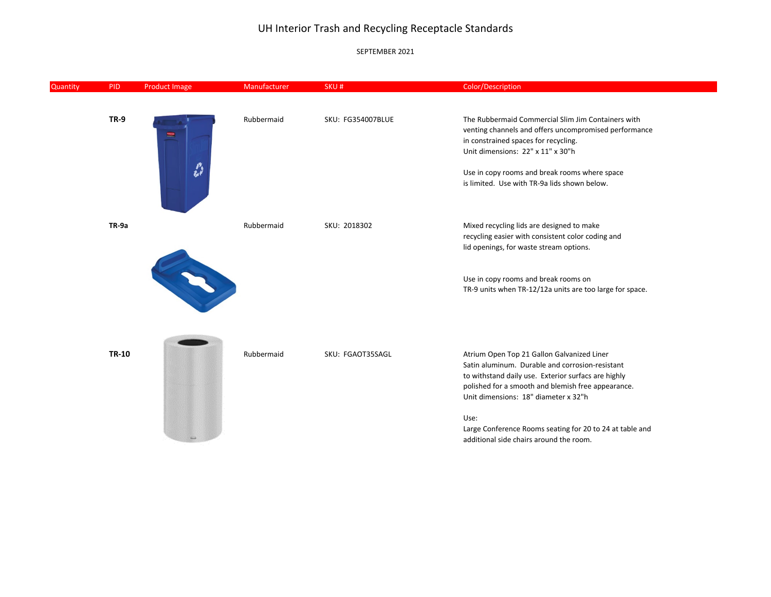| Quantity | <b>PID</b>  | <b>Product Image</b>         | Manufacturer | SKU#                     | Color/Description                                        |
|----------|-------------|------------------------------|--------------|--------------------------|----------------------------------------------------------|
|          |             |                              |              |                          |                                                          |
|          | <b>TR-9</b> |                              | Rubbermaid   | <b>SKU: FG354007BLUE</b> | The Rubbermaid Commercial Slim Jim Containers with       |
|          |             | $\qquad \qquad \blacksquare$ |              |                          | venting channels and offers uncompromised performance    |
|          |             |                              |              |                          | in constrained spaces for recycling.                     |
|          |             |                              |              |                          | Unit dimensions: 22" x 11" x 30"h                        |
|          |             | $\frac{p}{\hbar}$            |              |                          | Use in copy rooms and break rooms where space            |
|          |             |                              |              |                          | is limited. Use with TR-9a lids shown below.             |
|          |             |                              |              |                          |                                                          |
|          | TR-9a       |                              | Rubbermaid   | SKU: 2018302             | Mixed recycling lids are designed to make                |
|          |             |                              |              |                          | recycling easier with consistent color coding and        |
|          |             |                              |              |                          | lid openings, for waste stream options.                  |
|          |             |                              |              |                          |                                                          |
|          |             |                              |              |                          | Use in copy rooms and break rooms on                     |
|          |             |                              |              |                          | TR-9 units when TR-12/12a units are too large for space. |
|          |             |                              |              |                          |                                                          |
|          |             |                              |              |                          |                                                          |
|          |             |                              |              |                          |                                                          |
|          | TR-10       | Rubbermaid                   |              | SKU: FGAOT35SAGL         | Atrium Open Top 21 Gallon Galvanized Liner               |
|          |             |                              |              |                          | Satin aluminum. Durable and corrosion-resistant          |
|          |             |                              |              |                          | to withstand daily use. Exterior surfacs are highly      |
|          |             |                              |              |                          | polished for a smooth and blemish free appearance.       |
|          |             |                              |              |                          | Unit dimensions: 18" diameter x 32"h                     |
|          |             |                              |              |                          | Use:                                                     |
|          |             |                              |              |                          | Large Conference Rooms seating for 20 to 24 at table and |
|          |             |                              |              |                          | additional side chairs around the room.                  |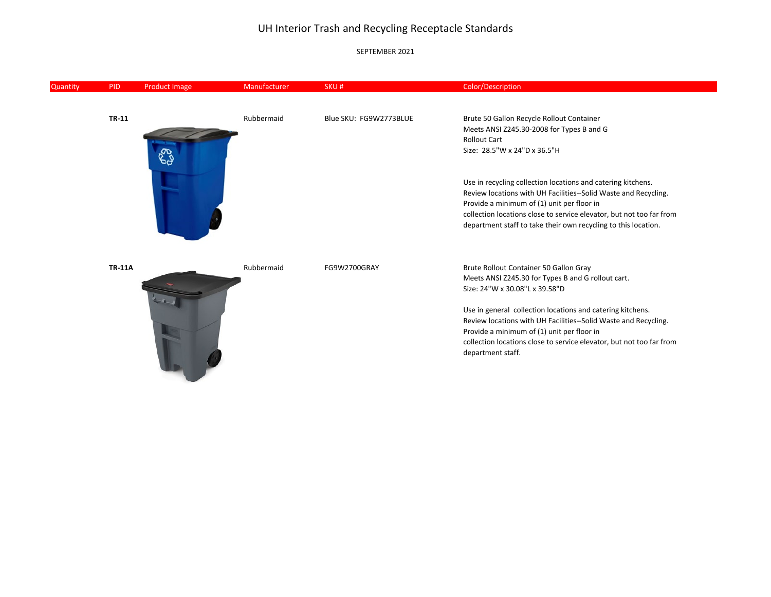| Quantity | <b>PID</b>    | <b>Product Image</b> | Manufacturer | SKU#                                                                 | Color/Description                                                    |
|----------|---------------|----------------------|--------------|----------------------------------------------------------------------|----------------------------------------------------------------------|
|          |               |                      |              |                                                                      |                                                                      |
|          | <b>TR-11</b>  |                      | Rubbermaid   | Blue SKU: FG9W2773BLUE                                               | Brute 50 Gallon Recycle Rollout Container                            |
|          |               |                      |              |                                                                      | Meets ANSI Z245.30-2008 for Types B and G                            |
|          |               |                      |              |                                                                      | <b>Rollout Cart</b>                                                  |
|          |               |                      |              |                                                                      | Size: 28.5"W x 24"D x 36.5"H                                         |
|          |               |                      |              |                                                                      | Use in recycling collection locations and catering kitchens.         |
|          |               |                      |              |                                                                      | Review locations with UH Facilities--Solid Waste and Recycling.      |
|          |               |                      |              |                                                                      | Provide a minimum of (1) unit per floor in                           |
|          |               |                      |              |                                                                      | collection locations close to service elevator, but not too far from |
|          |               |                      |              |                                                                      | department staff to take their own recycling to this location.       |
|          | <b>TR-11A</b> |                      | Rubbermaid   | FG9W2700GRAY                                                         | Brute Rollout Container 50 Gallon Gray                               |
|          |               |                      |              |                                                                      | Meets ANSI Z245.30 for Types B and G rollout cart.                   |
|          |               |                      |              |                                                                      | Size: 24"W x 30.08"L x 39.58"D                                       |
|          |               |                      |              |                                                                      | Use in general collection locations and catering kitchens.           |
|          |               |                      |              | Review locations with UH Facilities--Solid Waste and Recycling.      |                                                                      |
|          |               |                      |              |                                                                      | Provide a minimum of (1) unit per floor in                           |
|          |               |                      |              | collection locations close to service elevator, but not too far from |                                                                      |
|          |               |                      |              |                                                                      | department staff.                                                    |